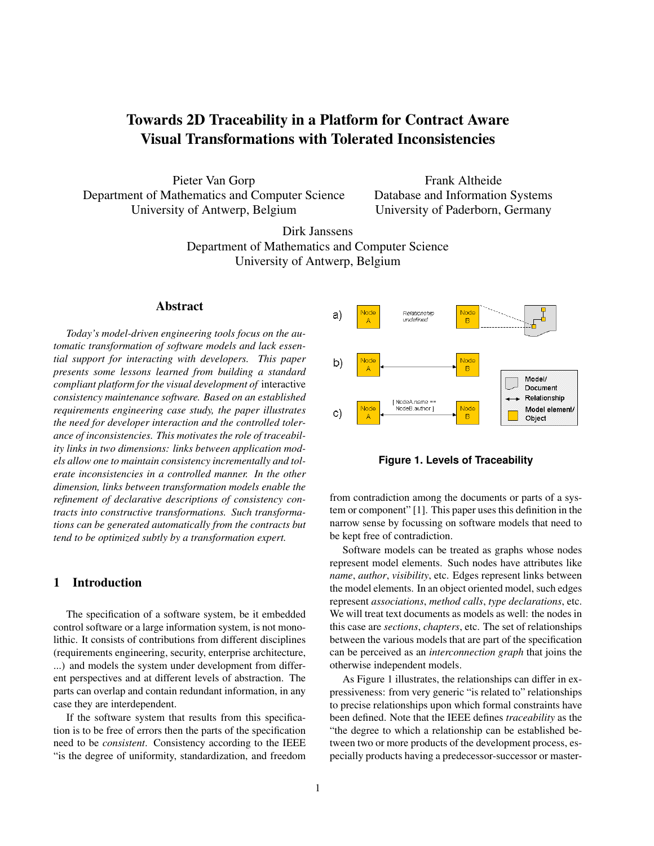# Towards 2D Traceability in a Platform for Contract Aware Visual Transformations with Tolerated Inconsistencies

Pieter Van Gorp Department of Mathematics and Computer Science University of Antwerp, Belgium

Frank Altheide Database and Information Systems University of Paderborn, Germany

Dirk Janssens Department of Mathematics and Computer Science University of Antwerp, Belgium

# Abstract

*Today's model-driven engineering tools focus on the automatic transformation of software models and lack essential support for interacting with developers. This paper presents some lessons learned from building a standard compliant platform for the visual development of* interactive *consistency maintenance software. Based on an established requirements engineering case study, the paper illustrates the need for developer interaction and the controlled tolerance of inconsistencies. This motivates the role of traceability links in two dimensions: links between application models allow one to maintain consistency incrementally and tolerate inconsistencies in a controlled manner. In the other dimension, links between transformation models enable the refinement of declarative descriptions of consistency contracts into constructive transformations. Such transformations can be generated automatically from the contracts but tend to be optimized subtly by a transformation expert.*

# 1 Introduction

The specification of a software system, be it embedded control software or a large information system, is not monolithic. It consists of contributions from different disciplines (requirements engineering, security, enterprise architecture, ...) and models the system under development from different perspectives and at different levels of abstraction. The parts can overlap and contain redundant information, in any case they are interdependent.

If the software system that results from this specification is to be free of errors then the parts of the specification need to be *consistent*. Consistency according to the IEEE "is the degree of uniformity, standardization, and freedom



**Figure 1. Levels of Traceability**

from contradiction among the documents or parts of a system or component" [1]. This paper uses this definition in the narrow sense by focussing on software models that need to be kept free of contradiction.

Software models can be treated as graphs whose nodes represent model elements. Such nodes have attributes like *name*, *author*, *visibility*, etc. Edges represent links between the model elements. In an object oriented model, such edges represent *associations*, *method calls*, *type declarations*, etc. We will treat text documents as models as well: the nodes in this case are *sections*, *chapters*, etc. The set of relationships between the various models that are part of the specification can be perceived as an *interconnection graph* that joins the otherwise independent models.

As Figure 1 illustrates, the relationships can differ in expressiveness: from very generic "is related to" relationships to precise relationships upon which formal constraints have been defined. Note that the IEEE defines *traceability* as the "the degree to which a relationship can be established between two or more products of the development process, especially products having a predecessor-successor or master-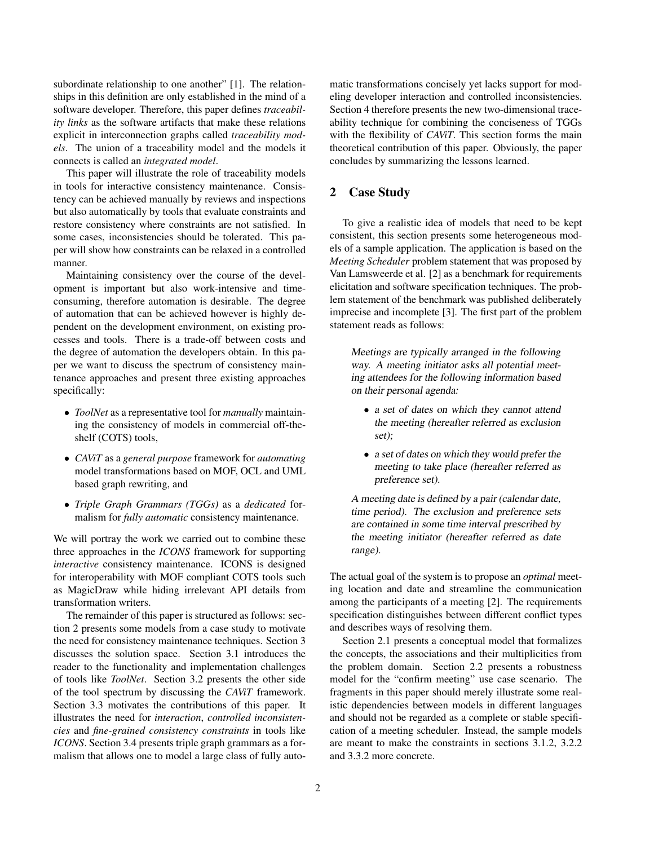subordinate relationship to one another" [1]. The relationships in this definition are only established in the mind of a software developer. Therefore, this paper defines *traceability links* as the software artifacts that make these relations explicit in interconnection graphs called *traceability models*. The union of a traceability model and the models it connects is called an *integrated model*.

This paper will illustrate the role of traceability models in tools for interactive consistency maintenance. Consistency can be achieved manually by reviews and inspections but also automatically by tools that evaluate constraints and restore consistency where constraints are not satisfied. In some cases, inconsistencies should be tolerated. This paper will show how constraints can be relaxed in a controlled manner.

Maintaining consistency over the course of the development is important but also work-intensive and timeconsuming, therefore automation is desirable. The degree of automation that can be achieved however is highly dependent on the development environment, on existing processes and tools. There is a trade-off between costs and the degree of automation the developers obtain. In this paper we want to discuss the spectrum of consistency maintenance approaches and present three existing approaches specifically:

- *ToolNet* as a representative tool for *manually* maintaining the consistency of models in commercial off-theshelf (COTS) tools,
- *CAViT* as a *general purpose* framework for *automating* model transformations based on MOF, OCL and UML based graph rewriting, and
- *Triple Graph Grammars (TGGs)* as a *dedicated* formalism for *fully automatic* consistency maintenance.

We will portray the work we carried out to combine these three approaches in the *ICONS* framework for supporting *interactive* consistency maintenance. ICONS is designed for interoperability with MOF compliant COTS tools such as MagicDraw while hiding irrelevant API details from transformation writers.

The remainder of this paper is structured as follows: section 2 presents some models from a case study to motivate the need for consistency maintenance techniques. Section 3 discusses the solution space. Section 3.1 introduces the reader to the functionality and implementation challenges of tools like *ToolNet*. Section 3.2 presents the other side of the tool spectrum by discussing the *CAViT* framework. Section 3.3 motivates the contributions of this paper. It illustrates the need for *interaction*, *controlled inconsistencies* and *fine-grained consistency constraints* in tools like *ICONS*. Section 3.4 presents triple graph grammars as a formalism that allows one to model a large class of fully automatic transformations concisely yet lacks support for modeling developer interaction and controlled inconsistencies. Section 4 therefore presents the new two-dimensional traceability technique for combining the conciseness of TGGs with the flexibility of *CAViT*. This section forms the main theoretical contribution of this paper. Obviously, the paper concludes by summarizing the lessons learned.

# 2 Case Study

To give a realistic idea of models that need to be kept consistent, this section presents some heterogeneous models of a sample application. The application is based on the *Meeting Scheduler* problem statement that was proposed by Van Lamsweerde et al. [2] as a benchmark for requirements elicitation and software specification techniques. The problem statement of the benchmark was published deliberately imprecise and incomplete [3]. The first part of the problem statement reads as follows:

Meetings are typically arranged in the following way. A meeting initiator asks all potential meeting attendees for the following information based on their personal agenda:

- a set of dates on which they cannot attend the meeting (hereafter referred as exclusion set);
- a set of dates on which they would prefer the meeting to take place (hereafter referred as preference set).

A meeting date is defined by a pair (calendar date, time period). The exclusion and preference sets are contained in some time interval prescribed by the meeting initiator (hereafter referred as date range).

The actual goal of the system is to propose an *optimal* meeting location and date and streamline the communication among the participants of a meeting [2]. The requirements specification distinguishes between different conflict types and describes ways of resolving them.

Section 2.1 presents a conceptual model that formalizes the concepts, the associations and their multiplicities from the problem domain. Section 2.2 presents a robustness model for the "confirm meeting" use case scenario. The fragments in this paper should merely illustrate some realistic dependencies between models in different languages and should not be regarded as a complete or stable specification of a meeting scheduler. Instead, the sample models are meant to make the constraints in sections 3.1.2, 3.2.2 and 3.3.2 more concrete.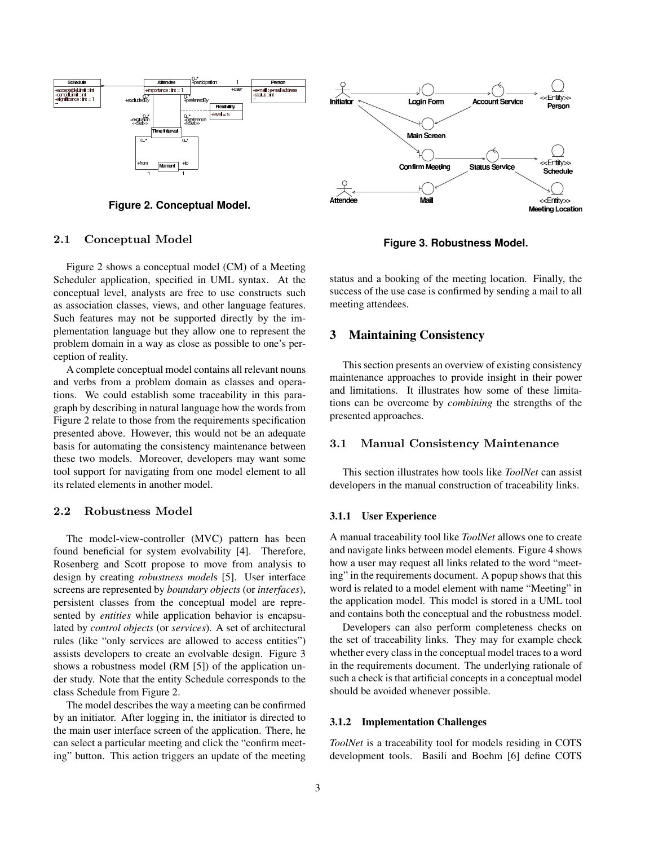

**Figure 2. Conceptual Model.**

## 2.1 Conceptual Model

Figure 2 shows a conceptual model (CM) of a Meeting Scheduler application, specified in UML syntax. At the conceptual level, analysts are free to use constructs such as association classes, views, and other language features. Such features may not be supported directly by the implementation language but they allow one to represent the problem domain in a way as close as possible to one's perception of reality.

A complete conceptual model contains all relevant nouns and verbs from a problem domain as classes and operations. We could establish some traceability in this paragraph by describing in natural language how the words from Figure 2 relate to those from the requirements specification presented above. However, this would not be an adequate basis for automating the consistency maintenance between these two models. Moreover, developers may want some tool support for navigating from one model element to all its related elements in another model.

# 2.2 Robustness Model

The model-view-controller (MVC) pattern has been found beneficial for system evolvability [4]. Therefore, Rosenberg and Scott propose to move from analysis to design by creating *robustness model*s [5]. User interface screens are represented by *boundary objects* (or *interfaces*), persistent classes from the conceptual model are represented by *entities* while application behavior is encapsulated by *control objects* (or *services*). A set of architectural rules (like "only services are allowed to access entities") assists developers to create an evolvable design. Figure 3 shows a robustness model (RM [5]) of the application under study. Note that the entity Schedule corresponds to the class Schedule from Figure 2.

The model describes the way a meeting can be confirmed by an initiator. After logging in, the initiator is directed to the main user interface screen of the application. There, he can select a particular meeting and click the "confirm meeting" button. This action triggers an update of the meeting



**Figure 3. Robustness Model.**

status and a booking of the meeting location. Finally, the success of the use case is confirmed by sending a mail to all meeting attendees.

# 3 Maintaining Consistency

This section presents an overview of existing consistency maintenance approaches to provide insight in their power and limitations. It illustrates how some of these limitations can be overcome by *combining* the strengths of the presented approaches.

## 3.1 Manual Consistency Maintenance

This section illustrates how tools like *ToolNet* can assist developers in the manual construction of traceability links.

#### 3.1.1 User Experience

A manual traceability tool like *ToolNet* allows one to create and navigate links between model elements. Figure 4 shows how a user may request all links related to the word "meeting" in the requirements document. A popup shows that this word is related to a model element with name "Meeting" in the application model. This model is stored in a UML tool and contains both the conceptual and the robustness model.

Developers can also perform completeness checks on the set of traceability links. They may for example check whether every class in the conceptual model traces to a word in the requirements document. The underlying rationale of such a check is that artificial concepts in a conceptual model should be avoided whenever possible.

## 3.1.2 Implementation Challenges

*ToolNet* is a traceability tool for models residing in COTS development tools. Basili and Boehm [6] define COTS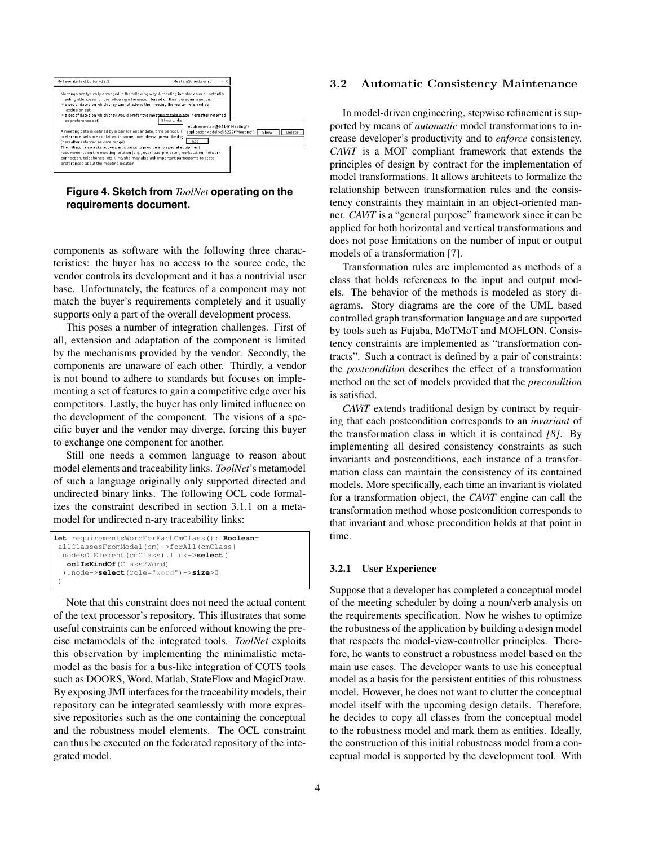

**Figure 4. Sketch from** *ToolNet* **operating on the requirements document.**

components as software with the following three characteristics: the buyer has no access to the source code, the vendor controls its development and it has a nontrivial user base. Unfortunately, the features of a component may not match the buyer's requirements completely and it usually supports only a part of the overall development process.

This poses a number of integration challenges. First of all, extension and adaptation of the component is limited by the mechanisms provided by the vendor. Secondly, the components are unaware of each other. Thirdly, a vendor is not bound to adhere to standards but focuses on implementing a set of features to gain a competitive edge over his competitors. Lastly, the buyer has only limited influence on the development of the component. The visions of a specific buyer and the vendor may diverge, forcing this buyer to exchange one component for another.

Still one needs a common language to reason about model elements and traceability links. *ToolNet*'s metamodel of such a language originally only supported directed and undirected binary links. The following OCL code formalizes the constraint described in section 3.1.1 on a metamodel for undirected n-ary traceability links:

```
let requirementsWordForEachCmClass(): Boolean=
allClassesFromModel(cm)->forAll(cmClass|
  nodesOfElement(cmClass).link->select(
  oclIsKindOf(Class2Word)
  ).node->select(role="word")->size>0
 )
```
Note that this constraint does not need the actual content of the text processor's repository. This illustrates that some useful constraints can be enforced without knowing the precise metamodels of the integrated tools. *ToolNet* exploits this observation by implementing the minimalistic metamodel as the basis for a bus-like integration of COTS tools such as DOORS, Word, Matlab, StateFlow and MagicDraw. By exposing JMI interfaces for the traceability models, their repository can be integrated seamlessly with more expressive repositories such as the one containing the conceptual and the robustness model elements. The OCL constraint can thus be executed on the federated repository of the integrated model.

### 3.2 Automatic Consistency Maintenance

In model-driven engineering, stepwise refinement is supported by means of *automatic* model transformations to increase developer's productivity and to *enforce* consistency. *CAViT* is a MOF compliant framework that extends the principles of design by contract for the implementation of model transformations. It allows architects to formalize the relationship between transformation rules and the consistency constraints they maintain in an object-oriented manner. *CAViT* is a "general purpose" framework since it can be applied for both horizontal and vertical transformations and does not pose limitations on the number of input or output models of a transformation [7].

Transformation rules are implemented as methods of a class that holds references to the input and output models. The behavior of the methods is modeled as story diagrams. Story diagrams are the core of the UML based controlled graph transformation language and are supported by tools such as Fujaba, MoTMoT and MOFLON. Consistency constraints are implemented as "transformation contracts". Such a contract is defined by a pair of constraints: the *postcondition* describes the effect of a transformation method on the set of models provided that the *precondition* is satisfied.

*CAViT* extends traditional design by contract by requiring that each postcondition corresponds to an *invariant* of the transformation class in which it is contained *[8]*. By implementing all desired consistency constraints as such invariants and postconditions, each instance of a transformation class can maintain the consistency of its contained models. More specifically, each time an invariant is violated for a transformation object, the *CAViT* engine can call the transformation method whose postcondition corresponds to that invariant and whose precondition holds at that point in time.

#### 3.2.1 User Experience

Suppose that a developer has completed a conceptual model of the meeting scheduler by doing a noun/verb analysis on the requirements specification. Now he wishes to optimize the robustness of the application by building a design model that respects the model-view-controller principles. Therefore, he wants to construct a robustness model based on the main use cases. The developer wants to use his conceptual model as a basis for the persistent entities of this robustness model. However, he does not want to clutter the conceptual model itself with the upcoming design details. Therefore, he decides to copy all classes from the conceptual model to the robustness model and mark them as entities. Ideally, the construction of this initial robustness model from a conceptual model is supported by the development tool. With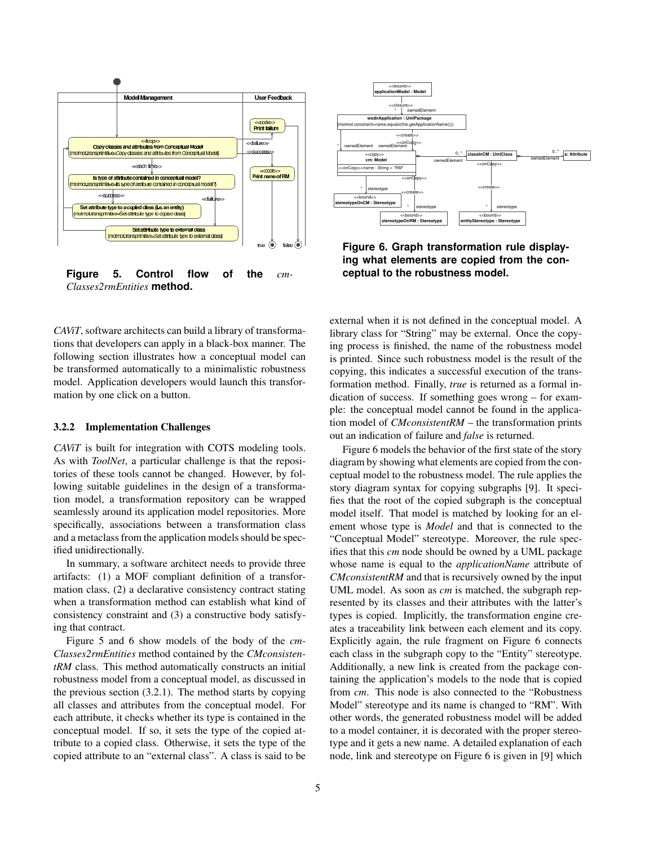

**Figure 5. Control flow of the** *cm-Classes2rmEntities* **method.**

*CAViT*, software architects can build a library of transformations that developers can apply in a black-box manner. The following section illustrates how a conceptual model can be transformed automatically to a minimalistic robustness model. Application developers would launch this transformation by one click on a button.

#### 3.2.2 Implementation Challenges

*CAViT* is built for integration with COTS modeling tools. As with *ToolNet*, a particular challenge is that the repositories of these tools cannot be changed. However, by following suitable guidelines in the design of a transformation model, a transformation repository can be wrapped seamlessly around its application model repositories. More specifically, associations between a transformation class and a metaclass from the application models should be specified unidirectionally.

In summary, a software architect needs to provide three artifacts: (1) a MOF compliant definition of a transformation class, (2) a declarative consistency contract stating when a transformation method can establish what kind of consistency constraint and (3) a constructive body satisfying that contract.

Figure 5 and 6 show models of the body of the *cm-Classes2rmEntities* method contained by the *CMconsistentRM* class. This method automatically constructs an initial robustness model from a conceptual model, as discussed in the previous section (3.2.1). The method starts by copying all classes and attributes from the conceptual model. For each attribute, it checks whether its type is contained in the conceptual model. If so, it sets the type of the copied attribute to a copied class. Otherwise, it sets the type of the copied attribute to an "external class". A class is said to be



**Figure 6. Graph transformation rule displaying what elements are copied from the conceptual to the robustness model.**

external when it is not defined in the conceptual model. A library class for "String" may be external. Once the copying process is finished, the name of the robustness model is printed. Since such robustness model is the result of the copying, this indicates a successful execution of the transformation method. Finally, *true* is returned as a formal indication of success. If something goes wrong – for example: the conceptual model cannot be found in the application model of *CMconsistentRM* – the transformation prints out an indication of failure and *false* is returned.

Figure 6 models the behavior of the first state of the story diagram by showing what elements are copied from the conceptual model to the robustness model. The rule applies the story diagram syntax for copying subgraphs [9]. It specifies that the root of the copied subgraph is the conceptual model itself. That model is matched by looking for an element whose type is *Model* and that is connected to the "Conceptual Model" stereotype. Moreover, the rule specifies that this *cm* node should be owned by a UML package whose name is equal to the *applicationName* attribute of *CMconsistentRM* and that is recursively owned by the input UML model. As soon as *cm* is matched, the subgraph represented by its classes and their attributes with the latter's types is copied. Implicitly, the transformation engine creates a traceability link between each element and its copy. Explicitly again, the rule fragment on Figure 6 connects each class in the subgraph copy to the "Entity" stereotype. Additionally, a new link is created from the package containing the application's models to the node that is copied from *cm*. This node is also connected to the "Robustness Model" stereotype and its name is changed to "RM". With other words, the generated robustness model will be added to a model container, it is decorated with the proper stereotype and it gets a new name. A detailed explanation of each node, link and stereotype on Figure 6 is given in [9] which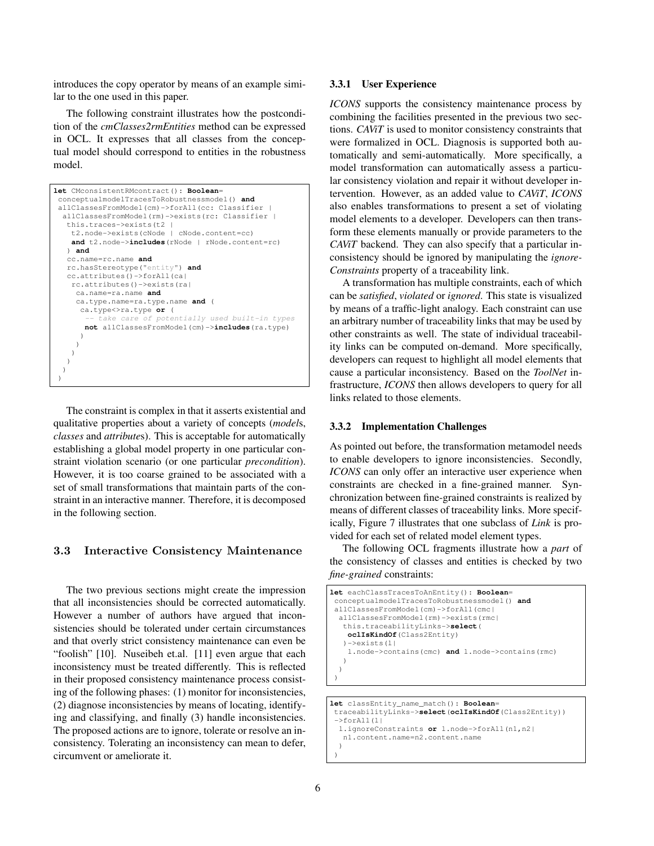introduces the copy operator by means of an example similar to the one used in this paper.

The following constraint illustrates how the postcondition of the *cmClasses2rmEntities* method can be expressed in OCL. It expresses that all classes from the conceptual model should correspond to entities in the robustness model.

| let CMconsistentRMcontract(): Boolean=          |
|-------------------------------------------------|
| conceptualmodelTracesToRobustnessmodel() and    |
| allClassesFromModel(cm)->forAll(cc: Classifier  |
| allClassesFromModel(rm)->exists(rc: Classifier  |
| this.traces->exists(t2                          |
| t2.node->exists(cNode   cNode.content=cc)       |
| and t2.node->includes(rNode   rNode.content=rc) |
| and                                             |
| cc.name=rc.name and                             |
| rc.hasStereotype("entity") and                  |
| cc.attributes()->forAll(ca)                     |
| $rc. at tributes() \rightarrow exists (ra)$     |
| ca.name=ra.name and                             |
| ca.type.name=ra.type.name and (                 |
| ca.type<>ra.type or (                           |
| -- take care of potentially used built-in types |
| not allClassesFromModel(cm)->includes(ra.type)  |
|                                                 |
|                                                 |
|                                                 |
|                                                 |
|                                                 |
|                                                 |

The constraint is complex in that it asserts existential and qualitative properties about a variety of concepts (*model*s, *classes* and *attribute*s). This is acceptable for automatically establishing a global model property in one particular constraint violation scenario (or one particular *precondition*). However, it is too coarse grained to be associated with a set of small transformations that maintain parts of the constraint in an interactive manner. Therefore, it is decomposed in the following section.

## 3.3 Interactive Consistency Maintenance

The two previous sections might create the impression that all inconsistencies should be corrected automatically. However a number of authors have argued that inconsistencies should be tolerated under certain circumstances and that overly strict consistency maintenance can even be "foolish" [10]. Nuseibeh et.al. [11] even argue that each inconsistency must be treated differently. This is reflected in their proposed consistency maintenance process consisting of the following phases: (1) monitor for inconsistencies, (2) diagnose inconsistencies by means of locating, identifying and classifying, and finally (3) handle inconsistencies. The proposed actions are to ignore, tolerate or resolve an inconsistency. Tolerating an inconsistency can mean to defer, circumvent or ameliorate it.

#### 3.3.1 User Experience

*ICONS* supports the consistency maintenance process by combining the facilities presented in the previous two sections. *CAViT* is used to monitor consistency constraints that were formalized in OCL. Diagnosis is supported both automatically and semi-automatically. More specifically, a model transformation can automatically assess a particular consistency violation and repair it without developer intervention. However, as an added value to *CAViT*, *ICONS* also enables transformations to present a set of violating model elements to a developer. Developers can then transform these elements manually or provide parameters to the *CAViT* backend. They can also specify that a particular inconsistency should be ignored by manipulating the *ignore-Constraints* property of a traceability link.

A transformation has multiple constraints, each of which can be *satisfied*, *violated* or *ignored*. This state is visualized by means of a traffic-light analogy. Each constraint can use an arbitrary number of traceability links that may be used by other constraints as well. The state of individual traceability links can be computed on-demand. More specifically, developers can request to highlight all model elements that cause a particular inconsistency. Based on the *ToolNet* infrastructure, *ICONS* then allows developers to query for all links related to those elements.

### 3.3.2 Implementation Challenges

As pointed out before, the transformation metamodel needs to enable developers to ignore inconsistencies. Secondly, *ICONS* can only offer an interactive user experience when constraints are checked in a fine-grained manner. Synchronization between fine-grained constraints is realized by means of different classes of traceability links. More specifically, Figure 7 illustrates that one subclass of *Link* is provided for each set of related model element types.

The following OCL fragments illustrate how a *part* of the consistency of classes and entities is checked by two *fine-grained* constraints:

```
let eachClassTracesToAnEntity(): Boolean=
conceptualmodelTracesToRobustnessmodel() and
 allClassesFromModel(cm)->forAll(cmc|
 allClassesFromModel(rm)->exists(rmc|
   this.traceabilityLinks->select(
   oclIsKindOf(Class2Entity)
   )->exists(l|
    l.node->contains(cmc) and l.node->contains(rmc)
   )
 )
 \lambdalet classEntity_name_match(): Boolean=
 traceabilityLinks->select(oclIsKindOf(Class2Entity))
 \rightarrowforAll(1)l.ignoreConstraints or l.node->forAll(n1,n2|
   n1.content.name=n2.content.name
```

```
)
)
```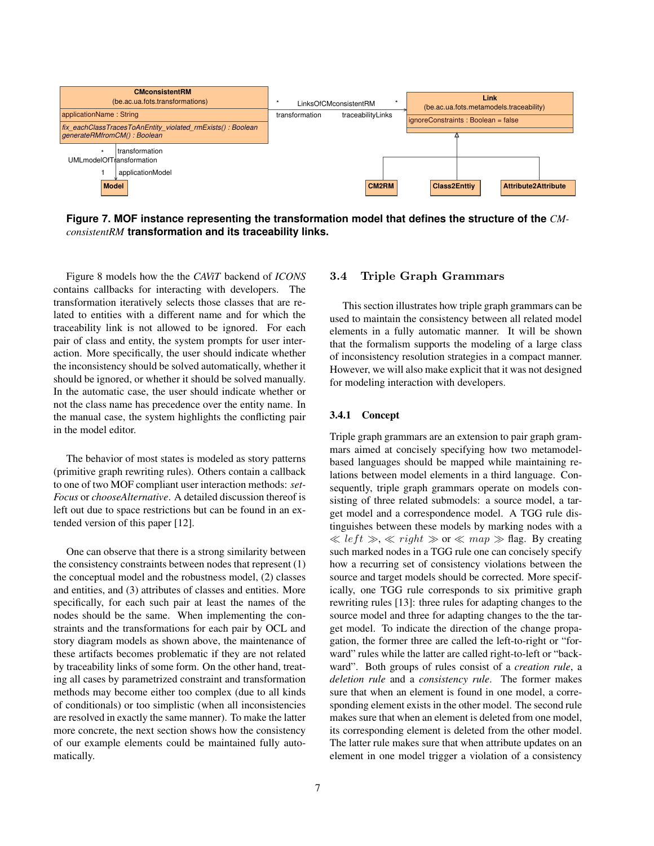

**Figure 7. MOF instance representing the transformation model that defines the structure of the** *CMconsistentRM* **transformation and its traceability links.**

Figure 8 models how the the *CAViT* backend of *ICONS* contains callbacks for interacting with developers. The transformation iteratively selects those classes that are related to entities with a different name and for which the traceability link is not allowed to be ignored. For each pair of class and entity, the system prompts for user interaction. More specifically, the user should indicate whether the inconsistency should be solved automatically, whether it should be ignored, or whether it should be solved manually. In the automatic case, the user should indicate whether or not the class name has precedence over the entity name. In the manual case, the system highlights the conflicting pair in the model editor.

The behavior of most states is modeled as story patterns (primitive graph rewriting rules). Others contain a callback to one of two MOF compliant user interaction methods: *set-Focus* or *chooseAlternative*. A detailed discussion thereof is left out due to space restrictions but can be found in an extended version of this paper [12].

One can observe that there is a strong similarity between the consistency constraints between nodes that represent (1) the conceptual model and the robustness model, (2) classes and entities, and (3) attributes of classes and entities. More specifically, for each such pair at least the names of the nodes should be the same. When implementing the constraints and the transformations for each pair by OCL and story diagram models as shown above, the maintenance of these artifacts becomes problematic if they are not related by traceability links of some form. On the other hand, treating all cases by parametrized constraint and transformation methods may become either too complex (due to all kinds of conditionals) or too simplistic (when all inconsistencies are resolved in exactly the same manner). To make the latter more concrete, the next section shows how the consistency of our example elements could be maintained fully automatically.

### 3.4 Triple Graph Grammars

This section illustrates how triple graph grammars can be used to maintain the consistency between all related model elements in a fully automatic manner. It will be shown that the formalism supports the modeling of a large class of inconsistency resolution strategies in a compact manner. However, we will also make explicit that it was not designed for modeling interaction with developers.

#### 3.4.1 Concept

Triple graph grammars are an extension to pair graph grammars aimed at concisely specifying how two metamodelbased languages should be mapped while maintaining relations between model elements in a third language. Consequently, triple graph grammars operate on models consisting of three related submodels: a source model, a target model and a correspondence model. A TGG rule distinguishes between these models by marking nodes with a  $\ll$  left  $\gg$ ,  $\ll$  right  $\gg$  or  $\ll$  map  $\gg$  flag. By creating such marked nodes in a TGG rule one can concisely specify how a recurring set of consistency violations between the source and target models should be corrected. More specifically, one TGG rule corresponds to six primitive graph rewriting rules [13]: three rules for adapting changes to the source model and three for adapting changes to the the target model. To indicate the direction of the change propagation, the former three are called the left-to-right or "forward" rules while the latter are called right-to-left or "backward". Both groups of rules consist of a *creation rule*, a *deletion rule* and a *consistency rule*. The former makes sure that when an element is found in one model, a corresponding element exists in the other model. The second rule makes sure that when an element is deleted from one model, its corresponding element is deleted from the other model. The latter rule makes sure that when attribute updates on an element in one model trigger a violation of a consistency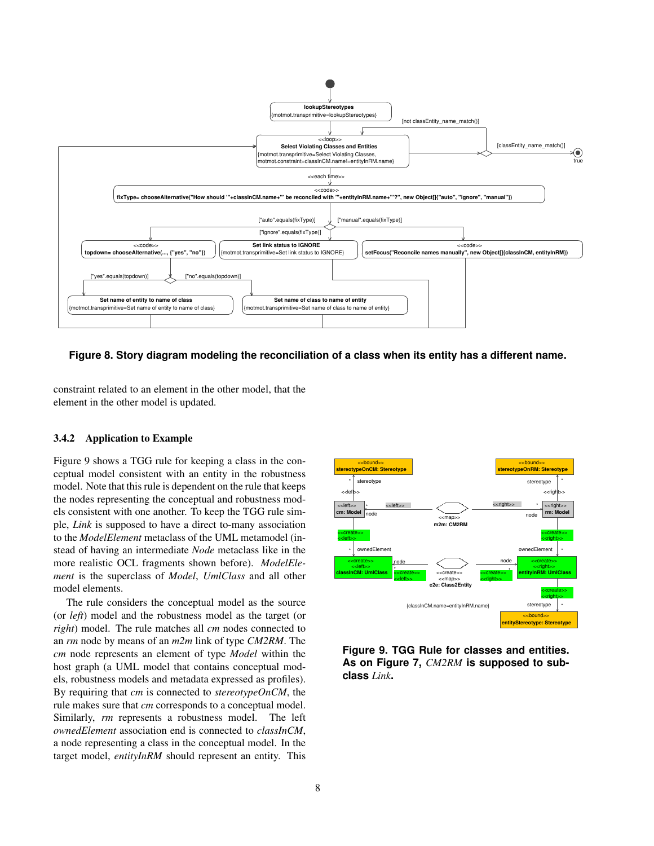

**Figure 8. Story diagram modeling the reconciliation of a class when its entity has a different name.**

constraint related to an element in the other model, that the element in the other model is updated.

### 3.4.2 Application to Example

Figure 9 shows a TGG rule for keeping a class in the conceptual model consistent with an entity in the robustness model. Note that this rule is dependent on the rule that keeps the nodes representing the conceptual and robustness models consistent with one another. To keep the TGG rule simple, *Link* is supposed to have a direct to-many association to the *ModelElement* metaclass of the UML metamodel (instead of having an intermediate *Node* metaclass like in the more realistic OCL fragments shown before). *ModelElement* is the superclass of *Model*, *UmlClass* and all other model elements.

The rule considers the conceptual model as the source (or *left*) model and the robustness model as the target (or *right*) model. The rule matches all *cm* nodes connected to an *rm* node by means of an *m2m* link of type *CM2RM*. The *cm* node represents an element of type *Model* within the host graph (a UML model that contains conceptual models, robustness models and metadata expressed as profiles). By requiring that *cm* is connected to *stereotypeOnCM*, the rule makes sure that *cm* corresponds to a conceptual model. Similarly, *rm* represents a robustness model. The left *ownedElement* association end is connected to *classInCM*, a node representing a class in the conceptual model. In the target model, *entityInRM* should represent an entity. This



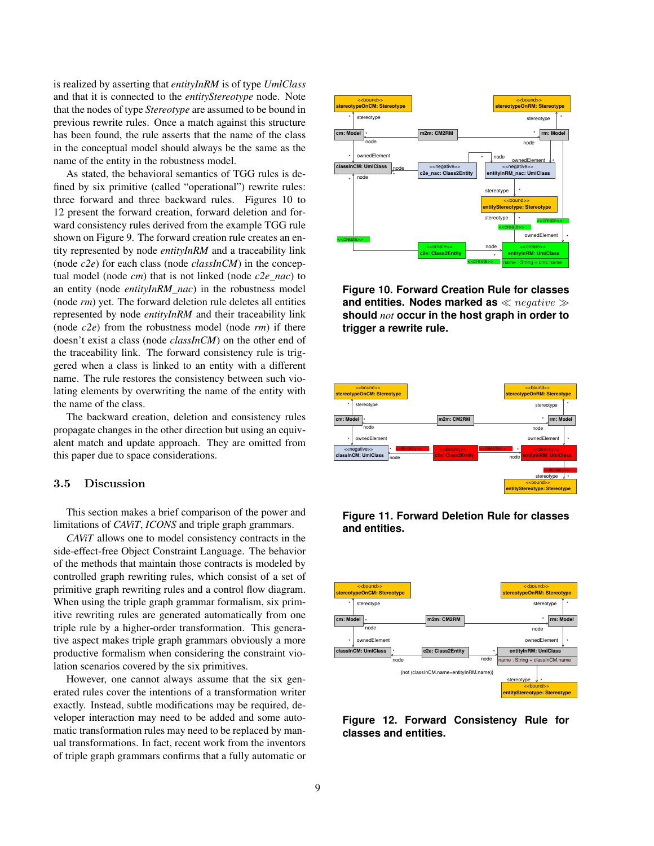is realized by asserting that *entityInRM* is of type *UmlClass* and that it is connected to the *entityStereotype* node. Note that the nodes of type *Stereotype* are assumed to be bound in previous rewrite rules. Once a match against this structure has been found, the rule asserts that the name of the class in the conceptual model should always be the same as the name of the entity in the robustness model.

As stated, the behavioral semantics of TGG rules is defined by six primitive (called "operational") rewrite rules: three forward and three backward rules. Figures 10 to 12 present the forward creation, forward deletion and forward consistency rules derived from the example TGG rule shown on Figure 9. The forward creation rule creates an entity represented by node *entityInRM* and a traceability link (node *c2e*) for each class (node *classInCM*) in the conceptual model (node *cm*) that is not linked (node *c2e\_nac*) to an entity (node *entityInRM\_nac*) in the robustness model (node *rm*) yet. The forward deletion rule deletes all entities represented by node *entityInRM* and their traceability link (node *c2e*) from the robustness model (node *rm*) if there doesn't exist a class (node *classInCM*) on the other end of the traceability link. The forward consistency rule is triggered when a class is linked to an entity with a different name. The rule restores the consistency between such violating elements by overwriting the name of the entity with the name of the class.

The backward creation, deletion and consistency rules propagate changes in the other direction but using an equivalent match and update approach. They are omitted from this paper due to space considerations.

# 3.5 Discussion

This section makes a brief comparison of the power and limitations of *CAViT*, *ICONS* and triple graph grammars.

*CAViT* allows one to model consistency contracts in the side-effect-free Object Constraint Language. The behavior of the methods that maintain those contracts is modeled by controlled graph rewriting rules, which consist of a set of primitive graph rewriting rules and a control flow diagram. When using the triple graph grammar formalism, six primitive rewriting rules are generated automatically from one triple rule by a higher-order transformation. This generative aspect makes triple graph grammars obviously a more productive formalism when considering the constraint violation scenarios covered by the six primitives.

However, one cannot always assume that the six generated rules cover the intentions of a transformation writer exactly. Instead, subtle modifications may be required, developer interaction may need to be added and some automatic transformation rules may need to be replaced by manual transformations. In fact, recent work from the inventors of triple graph grammars confirms that a fully automatic or



**Figure 10. Forward Creation Rule for classes** and entities. Nodes marked as  $\ll$  negative  $\gg$ **should** *not* **occur in the host graph in order to trigger a rewrite rule.**





**Figure 11. Forward Deletion Rule for classes and entities.**

**Figure 12. Forward Consistency Rule for classes and entities.**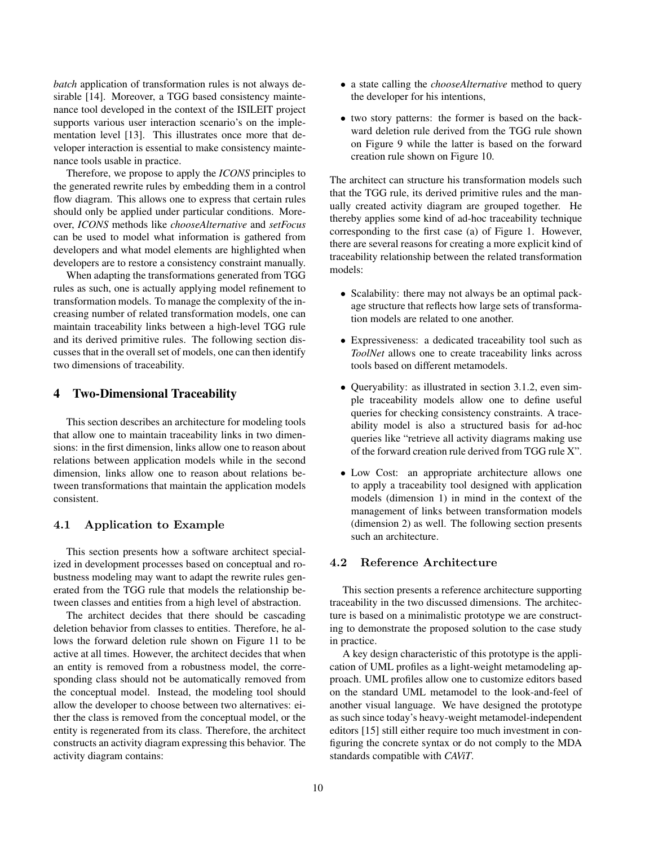*batch* application of transformation rules is not always desirable [14]. Moreover, a TGG based consistency maintenance tool developed in the context of the ISILEIT project supports various user interaction scenario's on the implementation level [13]. This illustrates once more that developer interaction is essential to make consistency maintenance tools usable in practice.

Therefore, we propose to apply the *ICONS* principles to the generated rewrite rules by embedding them in a control flow diagram. This allows one to express that certain rules should only be applied under particular conditions. Moreover, *ICONS* methods like *chooseAlternative* and *setFocus* can be used to model what information is gathered from developers and what model elements are highlighted when developers are to restore a consistency constraint manually.

When adapting the transformations generated from TGG rules as such, one is actually applying model refinement to transformation models. To manage the complexity of the increasing number of related transformation models, one can maintain traceability links between a high-level TGG rule and its derived primitive rules. The following section discusses that in the overall set of models, one can then identify two dimensions of traceability.

# 4 Two-Dimensional Traceability

This section describes an architecture for modeling tools that allow one to maintain traceability links in two dimensions: in the first dimension, links allow one to reason about relations between application models while in the second dimension, links allow one to reason about relations between transformations that maintain the application models consistent.

## 4.1 Application to Example

This section presents how a software architect specialized in development processes based on conceptual and robustness modeling may want to adapt the rewrite rules generated from the TGG rule that models the relationship between classes and entities from a high level of abstraction.

The architect decides that there should be cascading deletion behavior from classes to entities. Therefore, he allows the forward deletion rule shown on Figure 11 to be active at all times. However, the architect decides that when an entity is removed from a robustness model, the corresponding class should not be automatically removed from the conceptual model. Instead, the modeling tool should allow the developer to choose between two alternatives: either the class is removed from the conceptual model, or the entity is regenerated from its class. Therefore, the architect constructs an activity diagram expressing this behavior. The activity diagram contains:

- a state calling the *chooseAlternative* method to query the developer for his intentions,
- two story patterns: the former is based on the backward deletion rule derived from the TGG rule shown on Figure 9 while the latter is based on the forward creation rule shown on Figure 10.

The architect can structure his transformation models such that the TGG rule, its derived primitive rules and the manually created activity diagram are grouped together. He thereby applies some kind of ad-hoc traceability technique corresponding to the first case (a) of Figure 1. However, there are several reasons for creating a more explicit kind of traceability relationship between the related transformation models:

- Scalability: there may not always be an optimal package structure that reflects how large sets of transformation models are related to one another.
- Expressiveness: a dedicated traceability tool such as *ToolNet* allows one to create traceability links across tools based on different metamodels.
- Queryability: as illustrated in section 3.1.2, even simple traceability models allow one to define useful queries for checking consistency constraints. A traceability model is also a structured basis for ad-hoc queries like "retrieve all activity diagrams making use of the forward creation rule derived from TGG rule X".
- Low Cost: an appropriate architecture allows one to apply a traceability tool designed with application models (dimension 1) in mind in the context of the management of links between transformation models (dimension 2) as well. The following section presents such an architecture.

# 4.2 Reference Architecture

This section presents a reference architecture supporting traceability in the two discussed dimensions. The architecture is based on a minimalistic prototype we are constructing to demonstrate the proposed solution to the case study in practice.

A key design characteristic of this prototype is the application of UML profiles as a light-weight metamodeling approach. UML profiles allow one to customize editors based on the standard UML metamodel to the look-and-feel of another visual language. We have designed the prototype as such since today's heavy-weight metamodel-independent editors [15] still either require too much investment in configuring the concrete syntax or do not comply to the MDA standards compatible with *CAViT*.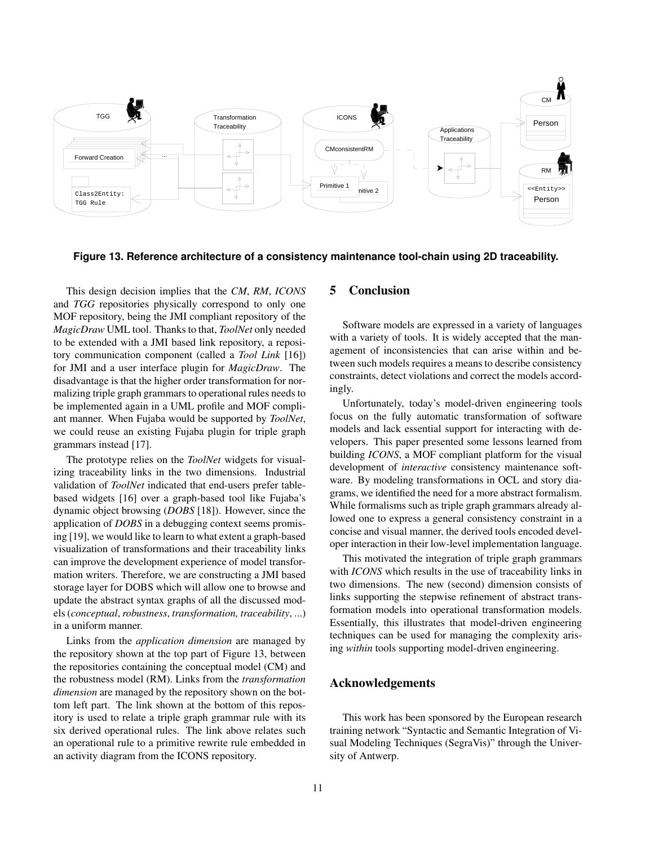

**Figure 13. Reference architecture of a consistency maintenance tool-chain using 2D traceability.**

This design decision implies that the *CM*, *RM*, *ICONS* and *TGG* repositories physically correspond to only one MOF repository, being the JMI compliant repository of the *MagicDraw* UML tool. Thanks to that, *ToolNet* only needed to be extended with a JMI based link repository, a repository communication component (called a *Tool Link* [16]) for JMI and a user interface plugin for *MagicDraw*. The disadvantage is that the higher order transformation for normalizing triple graph grammars to operational rules needs to be implemented again in a UML profile and MOF compliant manner. When Fujaba would be supported by *ToolNet*, we could reuse an existing Fujaba plugin for triple graph grammars instead [17].

The prototype relies on the *ToolNet* widgets for visualizing traceability links in the two dimensions. Industrial validation of *ToolNet* indicated that end-users prefer tablebased widgets [16] over a graph-based tool like Fujaba's dynamic object browsing (*DOBS* [18]). However, since the application of *DOBS* in a debugging context seems promising [19], we would like to learn to what extent a graph-based visualization of transformations and their traceability links can improve the development experience of model transformation writers. Therefore, we are constructing a JMI based storage layer for DOBS which will allow one to browse and update the abstract syntax graphs of all the discussed models (*conceptual*, *robustness*, *transformation, traceability*, ...) in a uniform manner.

Links from the *application dimension* are managed by the repository shown at the top part of Figure 13, between the repositories containing the conceptual model (CM) and the robustness model (RM). Links from the *transformation dimension* are managed by the repository shown on the bottom left part. The link shown at the bottom of this repository is used to relate a triple graph grammar rule with its six derived operational rules. The link above relates such an operational rule to a primitive rewrite rule embedded in an activity diagram from the ICONS repository.

# 5 Conclusion

Software models are expressed in a variety of languages with a variety of tools. It is widely accepted that the management of inconsistencies that can arise within and between such models requires a means to describe consistency constraints, detect violations and correct the models accordingly.

Unfortunately, today's model-driven engineering tools focus on the fully automatic transformation of software models and lack essential support for interacting with developers. This paper presented some lessons learned from building *ICONS*, a MOF compliant platform for the visual development of *interactive* consistency maintenance software. By modeling transformations in OCL and story diagrams, we identified the need for a more abstract formalism. While formalisms such as triple graph grammars already allowed one to express a general consistency constraint in a concise and visual manner, the derived tools encoded developer interaction in their low-level implementation language.

This motivated the integration of triple graph grammars with *ICONS* which results in the use of traceability links in two dimensions. The new (second) dimension consists of links supporting the stepwise refinement of abstract transformation models into operational transformation models. Essentially, this illustrates that model-driven engineering techniques can be used for managing the complexity arising *within* tools supporting model-driven engineering.

# Acknowledgements

This work has been sponsored by the European research training network "Syntactic and Semantic Integration of Visual Modeling Techniques (SegraVis)" through the University of Antwerp.